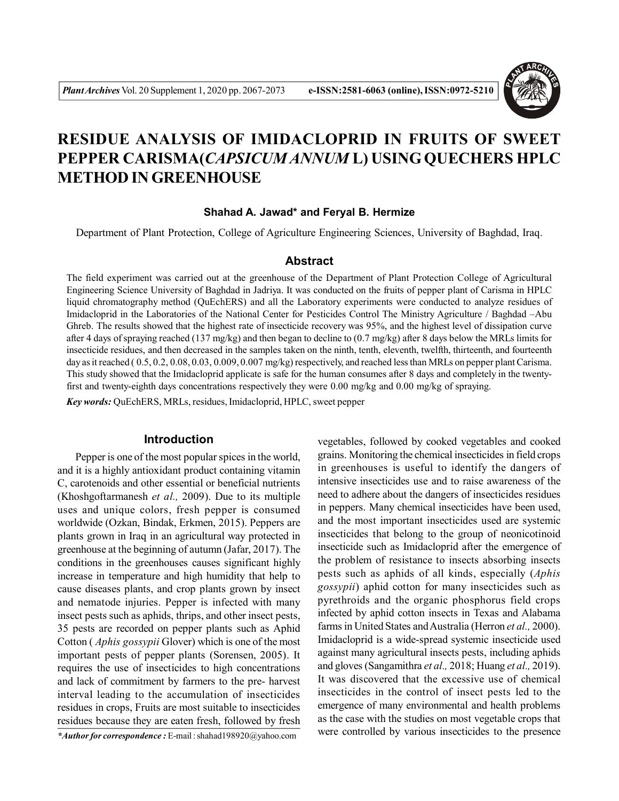

# **RESIDUE ANALYSIS OF IMIDACLOPRID IN FRUITS OF SWEET PEPPER CARISMA(***CAPSICUM ANNUM* **L) USING QUECHERS HPLC METHOD IN GREENHOUSE**

## **Shahad A. Jawad\* and Feryal B. Hermize**

Department of Plant Protection, College of Agriculture Engineering Sciences, University of Baghdad, Iraq.

## **Abstract**

The field experiment was carried out at the greenhouse of the Department of Plant Protection College of Agricultural Engineering Science University of Baghdad in Jadriya. It was conducted on the fruits of pepper plant of Carisma in HPLC liquid chromatography method (QuEchERS) and all the Laboratory experiments were conducted to analyze residues of Imidacloprid in the Laboratories of the National Center for Pesticides Control The Ministry Agriculture / Baghdad –Abu Ghreb. The results showed that the highest rate of insecticide recovery was 95%, and the highest level of dissipation curve after 4 days of spraying reached (137 mg/kg) and then began to decline to (0.7 mg/kg) after 8 days below the MRLs limits for insecticide residues, and then decreased in the samples taken on the ninth, tenth, eleventh, twelfth, thirteenth, and fourteenth day as it reached (0.5, 0.2, 0.08, 0.03, 0.009, 0.007 mg/kg) respectively, and reached less than MRLs on pepper plant Carisma. This study showed that the Imidacloprid applicate is safe for the human consumes after 8 days and completely in the twentyfirst and twenty-eighth days concentrations respectively they were 0.00 mg/kg and 0.00 mg/kg of spraying.

*Key words:* QuEchERS, MRLs, residues, Imidacloprid, HPLC, sweet pepper

## **Introduction**

Pepper is one of the most popular spices in the world, and it is a highly antioxidant product containing vitamin C, carotenoids and other essential or beneficial nutrients (Khoshgoftarmanesh *et al.,* 2009). Due to its multiple uses and unique colors, fresh pepper is consumed worldwide (Ozkan, Bindak, Erkmen, 2015). Peppers are plants grown in Iraq in an agricultural way protected in greenhouse at the beginning of autumn (Jafar, 2017). The conditions in the greenhouses causes significant highly increase in temperature and high humidity that help to cause diseases plants, and crop plants grown by insect and nematode injuries. Pepper is infected with many insect pests such as aphids, thrips, and other insect pests, 35 pests are recorded on pepper plants such as Aphid Cotton ( *Aphis gossypii* Glover) which is one of the most important pests of pepper plants (Sorensen, 2005). It requires the use of insecticides to high concentrations and lack of commitment by farmers to the pre- harvest interval leading to the accumulation of insecticides residues in crops, Fruits are most suitable to insecticides residues because they are eaten fresh, followed by fresh

*\*Author for correspondence :* E-mail : shahad198920@yahoo.com

vegetables, followed by cooked vegetables and cooked grains. Monitoring the chemical insecticides in field crops in greenhouses is useful to identify the dangers of intensive insecticides use and to raise awareness of the need to adhere about the dangers of insecticides residues in peppers. Many chemical insecticides have been used, and the most important insecticides used are systemic insecticides that belong to the group of neonicotinoid insecticide such as Imidacloprid after the emergence of the problem of resistance to insects absorbing insects pests such as aphids of all kinds, especially (*Aphis gossypii*) aphid cotton for many insecticides such as pyrethroids and the organic phosphorus field crops infected by aphid cotton insects in Texas and Alabama farms in United States and Australia (Herron *et al.,* 2000). Imidacloprid is a wide-spread systemic insecticide used against many agricultural insects pests, including aphids and gloves (Sangamithra *et al.,* 2018; Huang *et al.,* 2019). It was discovered that the excessive use of chemical insecticides in the control of insect pests led to the emergence of many environmental and health problems as the case with the studies on most vegetable crops that were controlled by various insecticides to the presence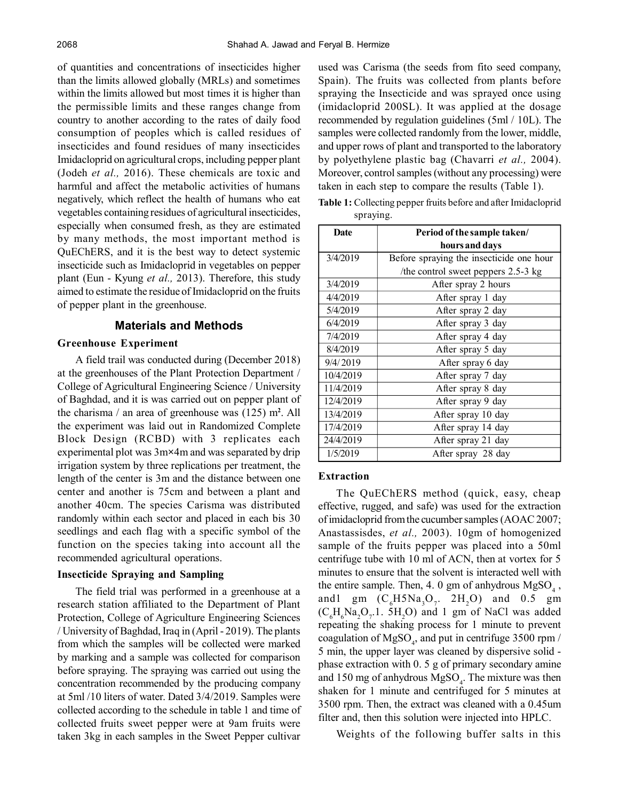of quantities and concentrations of insecticides higher than the limits allowed globally (MRLs) and sometimes within the limits allowed but most times it is higher than the permissible limits and these ranges change from country to another according to the rates of daily food consumption of peoples which is called residues of insecticides and found residues of many insecticides Imidacloprid on agricultural crops, including pepper plant (Jodeh *et al.,* 2016). These chemicals are toxic and harmful and affect the metabolic activities of humans negatively, which reflect the health of humans who eat vegetables containing residues of agricultural insecticides, especially when consumed fresh, as they are estimated by many methods, the most important method is QuEChERS, and it is the best way to detect systemic insecticide such as Imidacloprid in vegetables on pepper plant (Eun - Kyung *et al.,* 2013). Therefore, this study aimed to estimate the residue of Imidacloprid on the fruits of pepper plant in the greenhouse.

## **Materials and Methods**

#### **Greenhouse Experiment**

A field trail was conducted during (December 2018) at the greenhouses of the Plant Protection Department / College of Agricultural Engineering Science / University of Baghdad, and it is was carried out on pepper plant of the charisma / an area of greenhouse was (125) m**<sup>2</sup>** . All the experiment was laid out in Randomized Complete Block Design (RCBD) with 3 replicates each experimental plot was 3m**×**4m and was separated by drip irrigation system by three replications per treatment, the length of the center is 3m and the distance between one center and another is 75cm and between a plant and another 40cm. The species Carisma was distributed randomly within each sector and placed in each bis 30 seedlings and each flag with a specific symbol of the function on the species taking into account all the recommended agricultural operations.

## **Insecticide Spraying and Sampling**

The field trial was performed in a greenhouse at a research station affiliated to the Department of Plant Protection, College of Agriculture Engineering Sciences / University of Baghdad, Iraq in (April - 2019). The plants from which the samples will be collected were marked by marking and a sample was collected for comparison before spraying. The spraying was carried out using the concentration recommended by the producing company at 5ml /10 liters of water. Dated 3/4/2019. Samples were collected according to the schedule in table 1 and time of collected fruits sweet pepper were at 9am fruits were taken 3kg in each samples in the Sweet Pepper cultivar

used was Carisma (the seeds from fito seed company, Spain). The fruits was collected from plants before spraying the Insecticide and was sprayed once using (imidacloprid 200SL). It was applied at the dosage recommended by regulation guidelines (5ml / 10L). The samples were collected randomly from the lower, middle, and upper rows of plant and transported to the laboratory by polyethylene plastic bag (Chavarri *et al.,* 2004). Moreover, control samples (without any processing) were taken in each step to compare the results (Table 1).

**Table 1:** Collecting pepper fruits before and after Imidacloprid spraying.

| <b>Date</b> | Period of the sample taken/              |
|-------------|------------------------------------------|
|             | hours and days                           |
| 3/4/2019    | Before spraying the insecticide one hour |
|             | /the control sweet peppers 2.5-3 kg      |
| 3/4/2019    | After spray 2 hours                      |
| 4/4/2019    | After spray 1 day                        |
| 5/4/2019    | After spray 2 day                        |
| 6/4/2019    | After spray 3 day                        |
| 7/4/2019    | After spray 4 day                        |
| 8/4/2019    | After spray 5 day                        |
| 9/4/2019    | After spray 6 day                        |
| 10/4/2019   | After spray 7 day                        |
| 11/4/2019   | After spray 8 day                        |
| 12/4/2019   | After spray 9 day                        |
| 13/4/2019   | After spray 10 day                       |
| 17/4/2019   | After spray 14 day                       |
| 24/4/2019   | After spray 21 day                       |
| 1/5/2019    | After spray 28 day                       |

#### **Extraction**

The QuEChERS method (quick, easy, cheap effective, rugged, and safe) was used for the extraction of imidacloprid from the cucumber samples (AOAC 2007; Anastassisdes, *et al.,* 2003). 10gm of homogenized sample of the fruits pepper was placed into a 50ml centrifuge tube with 10 ml of ACN, then at vortex for 5 minutes to ensure that the solvent is interacted well with the entire sample. Then, 4. 0 gm of anhydrous  $MgSO<sub>4</sub>$ , and 1gm  $(C_6H5Na_3O_7$ .  $2H_2O$  and 0.5 gm  $(C_6H_6Na_2O_7.1. 5H_2O)$  and 1 gm of NaCl was added repeating the shaking process for 1 minute to prevent coagulation of MgSO<sub>4</sub>, and put in centrifuge 3500 rpm / 5 min, the upper layer was cleaned by dispersive solid phase extraction with 0. 5 g of primary secondary amine and 150 mg of anhydrous  $MgSO<sub>4</sub>$ . The mixture was then shaken for 1 minute and centrifuged for 5 minutes at 3500 rpm. Then, the extract was cleaned with a 0.45um filter and, then this solution were injected into HPLC.

Weights of the following buffer salts in this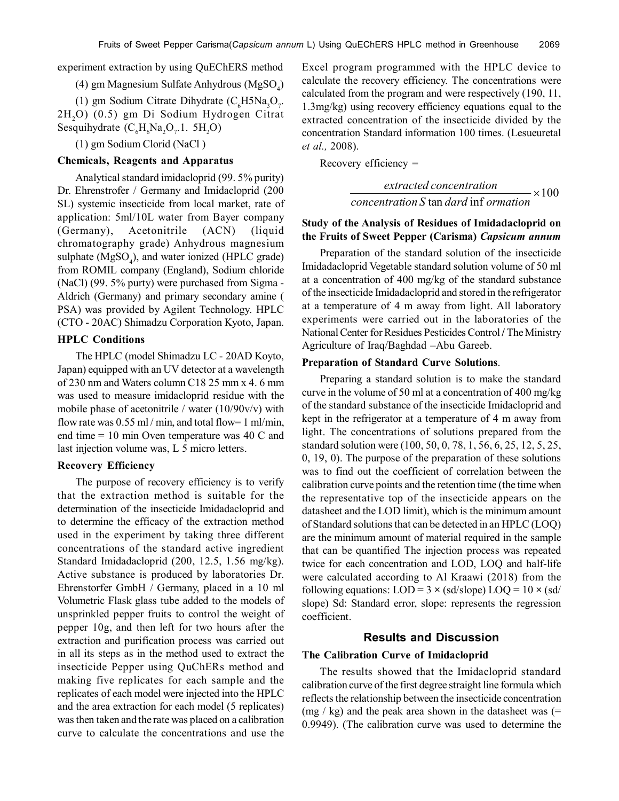experiment extraction by using QuEChERS method

(4) gm Magnesium Sulfate Anhydrous (MgSO<sub>4</sub>)

(1) gm Sodium Citrate Dihydrate (C<sub>6</sub>H5Na<sub>3</sub>O<sub>7</sub>. 2H2O) (0.5) gm Di Sodium Hydrogen Citrat Sesquihydrate  $(C_6H_6Na_2O_7.1. 5H_2O)$ 

(1) gm Sodium Clorid (NaCl )

## **Chemicals, Reagents and Apparatus**

Analytical standard imidacloprid (99. 5% purity) Dr. Ehrenstrofer / Germany and Imidacloprid (200 SL) systemic insecticide from local market, rate of application: 5ml/10L water from Bayer company (Germany), Acetonitrile (ACN) (liquid chromatography grade) Anhydrous magnesium sulphate  $(MgSO_4)$ , and water ionized (HPLC grade) from ROMIL company (England), Sodium chloride (NaCl) (99. 5% purty) were purchased from Sigma - Aldrich (Germany) and primary secondary amine ( PSA) was provided by Agilent Technology. HPLC (CTO - 20AC) Shimadzu Corporation Kyoto, Japan.

## **HPLC Conditions**

The HPLC (model Shimadzu LC - 20AD Koyto, Japan) equipped with an UV detector at a wavelength of 230 nm and Waters column C18 25 mm x 4. 6 mm was used to measure imidacloprid residue with the mobile phase of acetonitrile / water  $(10/90v/v)$  with flow rate was  $0.55$  ml / min, and total flow= 1 ml/min, end time = 10 min Oven temperature was 40 C and last injection volume was, L 5 micro letters.

#### **Recovery Efficiency**

The purpose of recovery efficiency is to verify that the extraction method is suitable for the determination of the insecticide Imidadacloprid and to determine the efficacy of the extraction method used in the experiment by taking three different concentrations of the standard active ingredient Standard Imidadacloprid (200, 12.5, 1.56 mg/kg). Active substance is produced by laboratories Dr. Ehrenstorfer GmbH / Germany, placed in a 10 ml Volumetric Flask glass tube added to the models of unsprinkled pepper fruits to control the weight of pepper 10g, and then left for two hours after the extraction and purification process was carried out in all its steps as in the method used to extract the insecticide Pepper using QuChERs method and making five replicates for each sample and the replicates of each model were injected into the HPLC and the area extraction for each model (5 replicates) was then taken and the rate was placed on a calibration curve to calculate the concentrations and use the

Excel program programmed with the HPLC device to calculate the recovery efficiency. The concentrations were calculated from the program and were respectively (190, 11, 1.3mg/kg) using recovery efficiency equations equal to the extracted concentration of the insecticide divided by the concentration Standard information 100 times. (Lesueuretal *et al.,* 2008).

Recovery efficiency =

$$
\frac{extracted\ concentration}{concentration\ S\tan\ dard\ inf\ or\
$$

## **Study of the Analysis of Residues of Imidadacloprid on the Fruits of Sweet Pepper (Carisma)** *Capsicum annum*

Preparation of the standard solution of the insecticide Imidadacloprid Vegetable standard solution volume of 50 ml at a concentration of 400 mg/kg of the standard substance of the insecticide Imidadacloprid and stored in the refrigerator at a temperature of 4 m away from light. All laboratory experiments were carried out in the laboratories of the National Center for Residues Pesticides Control **/** TheMinistry Agriculture of Iraq/Baghdad –Abu Gareeb.

#### **Preparation of Standard Curve Solutions**.

Preparing a standard solution is to make the standard curve in the volume of 50 ml at a concentration of 400 mg/kg of the standard substance of the insecticide Imidacloprid and kept in the refrigerator at a temperature of 4 m away from light. The concentrations of solutions prepared from the standard solution were (100, 50, 0, 78, 1, 56, 6, 25, 12, 5, 25, 0, 19, 0). The purpose of the preparation of these solutions was to find out the coefficient of correlation between the calibration curve points and the retention time (the time when the representative top of the insecticide appears on the datasheet and the LOD limit), which is the minimum amount of Standard solutions that can be detected in an HPLC (LOQ) are the minimum amount of material required in the sample that can be quantified The injection process was repeated twice for each concentration and LOD, LOQ and half-life were calculated according to Al Kraawi (2018) from the following equations:  $LOD = 3 \times (sd/slope) \cdot LOQ = 10 \times (sd/$ slope) Sd: Standard error, slope: represents the regression coefficient.

#### **Results and Discussion**

#### **The Calibration Curve of Imidacloprid**

The results showed that the Imidacloprid standard calibration curve of the first degree straight line formula which reflects the relationship between the insecticide concentration  $(mg / kg)$  and the peak area shown in the datasheet was (= 0.9949). (The calibration curve was used to determine the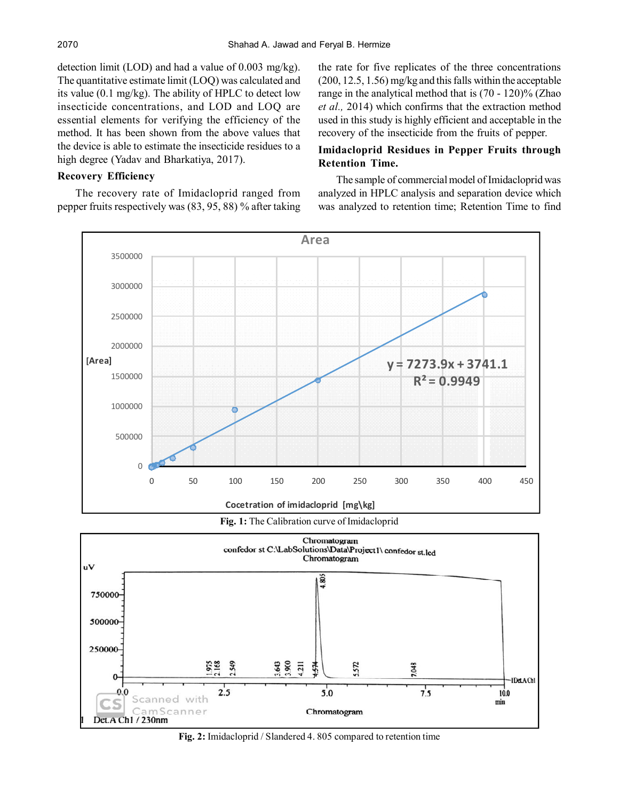detection limit (LOD) and had a value of 0.003 mg/kg). The quantitative estimate limit (LOQ) was calculated and its value (0.1 mg/kg). The ability of HPLC to detect low insecticide concentrations, and LOD and LOQ are essential elements for verifying the efficiency of the method. It has been shown from the above values that the device is able to estimate the insecticide residues to a high degree (Yadav and Bharkatiya, 2017).

## **Recovery Efficiency**

The recovery rate of Imidacloprid ranged from pepper fruits respectively was (83, 95, 88) % after taking the rate for five replicates of the three concentrations (200, 12.5, 1.56) mg/kg and this falls within the acceptable range in the analytical method that is (70 - 120)% (Zhao *et al.,* 2014) which confirms that the extraction method used in this study is highly efficient and acceptable in the recovery of the insecticide from the fruits of pepper.

## **Imidacloprid Residues in Pepper Fruits through Retention Time.**

The sample of commercial model of Imidacloprid was analyzed in HPLC analysis and separation device which was analyzed to retention time; Retention Time to find







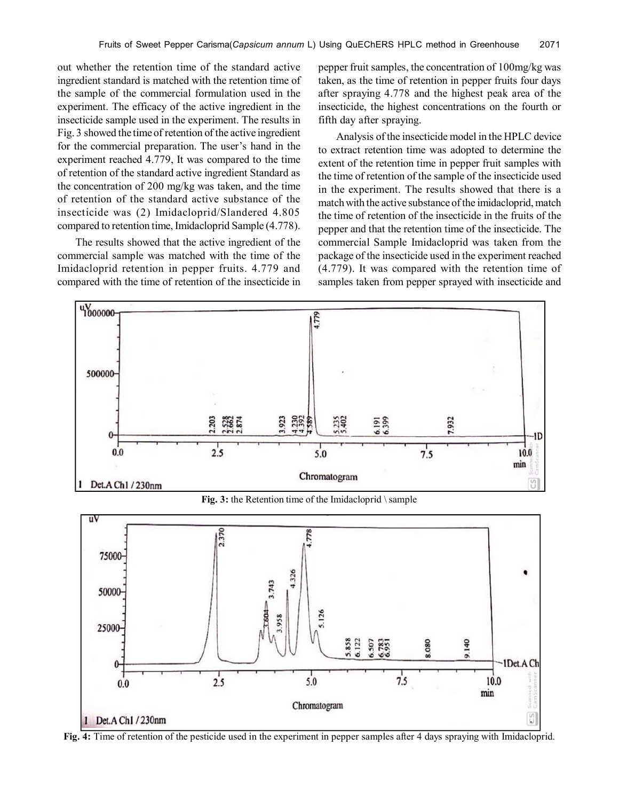out whether the retention time of the standard active ingredient standard is matched with the retention time of the sample of the commercial formulation used in the experiment. The efficacy of the active ingredient in the insecticide sample used in the experiment. The results in Fig. 3 showed the time of retention of the active ingredient for the commercial preparation. The user's hand in the experiment reached 4.779, It was compared to the time of retention of the standard active ingredient Standard as the concentration of 200 mg/kg was taken, and the time of retention of the standard active substance of the insecticide was (2) Imidacloprid/Slandered 4.805 compared to retention time, Imidacloprid Sample (4.778).

The results showed that the active ingredient of the commercial sample was matched with the time of the Imidacloprid retention in pepper fruits. 4.779 and compared with the time of retention of the insecticide in pepper fruit samples, the concentration of 100mg/kg was taken, as the time of retention in pepper fruits four days after spraying 4.778 and the highest peak area of the insecticide, the highest concentrations on the fourth or fifth day after spraying.

Analysis of the insecticide model in the HPLC device to extract retention time was adopted to determine the extent of the retention time in pepper fruit samples with the time of retention of the sample of the insecticide used in the experiment. The results showed that there is a match with the active substance of the imidacloprid, match the time of retention of the insecticide in the fruits of the pepper and that the retention time of the insecticide. The commercial Sample Imidacloprid was taken from the package of the insecticide used in the experiment reached (4.779). It was compared with the retention time of samples taken from pepper sprayed with insecticide and



**Fig. 3:** the Retention time of the Imidacloprid \ sample



**Fig. 4:** Time of retention of the pesticide used in the experiment in pepper samples after 4 days spraying with Imidacloprid.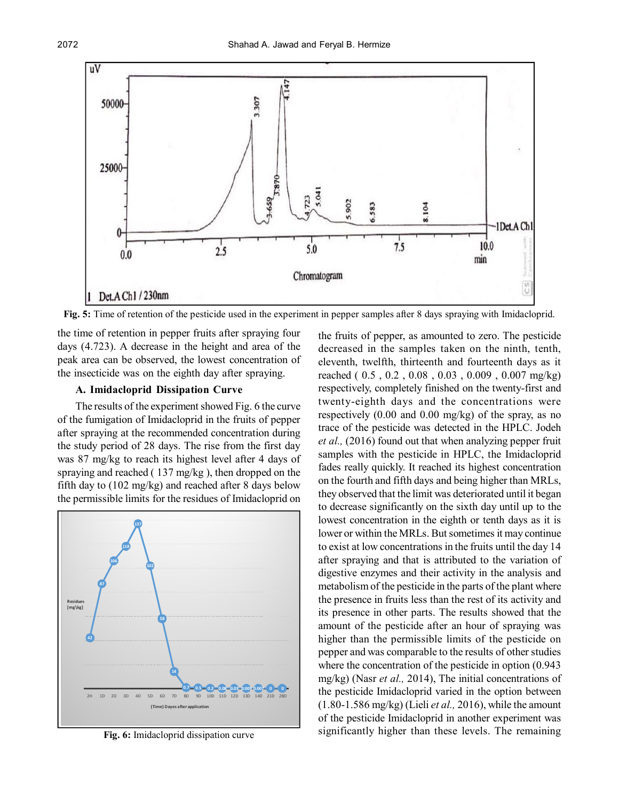

**Fig. 5:** Time of retention of the pesticide used in the experiment in pepper samples after 8 days spraying with Imidacloprid.

the time of retention in pepper fruits after spraying four days (4.723). A decrease in the height and area of the peak area can be observed, the lowest concentration of the insecticide was on the eighth day after spraying.

## **A. Imidacloprid Dissipation Curve**

The results of the experiment showed Fig. 6 the curve of the fumigation of Imidacloprid in the fruits of pepper after spraying at the recommended concentration during the study period of 28 days. The rise from the first day was 87 mg/kg to reach its highest level after 4 days of spraying and reached ( 137 mg/kg ), then dropped on the fifth day to (102 mg/kg) and reached after 8 days below the permissible limits for the residues of Imidacloprid on



**Fig. 6:** Imidacloprid dissipation curve

the fruits of pepper, as amounted to zero. The pesticide decreased in the samples taken on the ninth, tenth, eleventh, twelfth, thirteenth and fourteenth days as it reached ( 0.5 , 0.2 , 0.08 , 0.03 , 0.009 , 0.007 mg/kg) respectively, completely finished on the twenty-first and twenty-eighth days and the concentrations were respectively (0.00 and 0.00 mg/kg) of the spray, as no trace of the pesticide was detected in the HPLC. Jodeh *et al.,* (2016) found out that when analyzing pepper fruit samples with the pesticide in HPLC, the Imidacloprid fades really quickly. It reached its highest concentration on the fourth and fifth days and being higher than MRLs, they observed that the limit was deteriorated until it began to decrease significantly on the sixth day until up to the lowest concentration in the eighth or tenth days as it is lower or within the MRLs. But sometimes it may continue to exist at low concentrations in the fruits until the day 14 after spraying and that is attributed to the variation of digestive enzymes and their activity in the analysis and metabolism of the pesticide in the parts of the plant where the presence in fruits less than the rest of its activity and its presence in other parts. The results showed that the amount of the pesticide after an hour of spraying was higher than the permissible limits of the pesticide on pepper and was comparable to the results of other studies where the concentration of the pesticide in option (0.943 mg/kg) (Nasr *et al.,* 2014), The initial concentrations of the pesticide Imidacloprid varied in the option between (1.80-1.586 mg/kg) (Lieli *et al.,* 2016), while the amount of the pesticide Imidacloprid in another experiment was significantly higher than these levels. The remaining